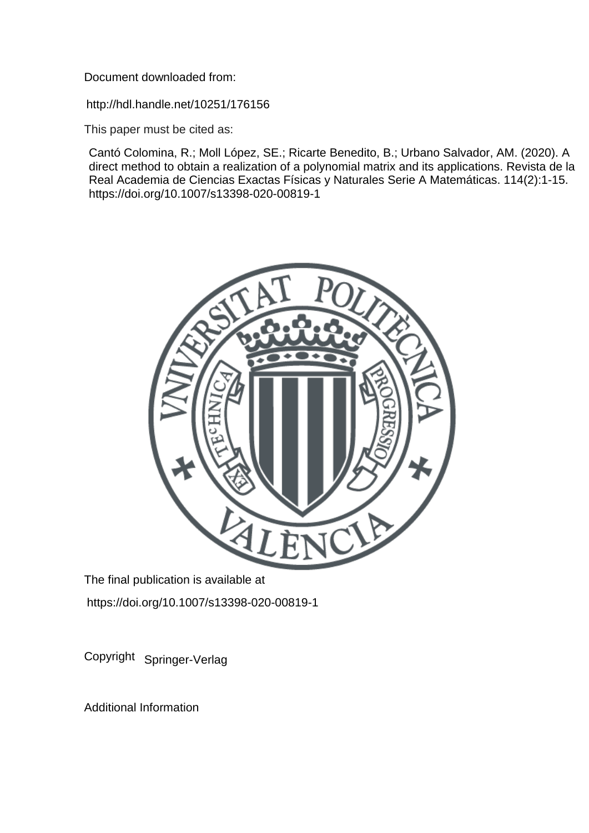Document downloaded from:

http://hdl.handle.net/10251/176156

This paper must be cited as:

Cantó Colomina, R.; Moll López, SE.; Ricarte Benedito, B.; Urbano Salvador, AM. (2020). A direct method to obtain a realization of a polynomial matrix and its applications. Revista de la Real Academia de Ciencias Exactas Físicas y Naturales Serie A Matemáticas. 114(2):1-15. https://doi.org/10.1007/s13398-020-00819-1



The final publication is available at https://doi.org/10.1007/s13398-020-00819-1

Copyright Springer-Verlag

Additional Information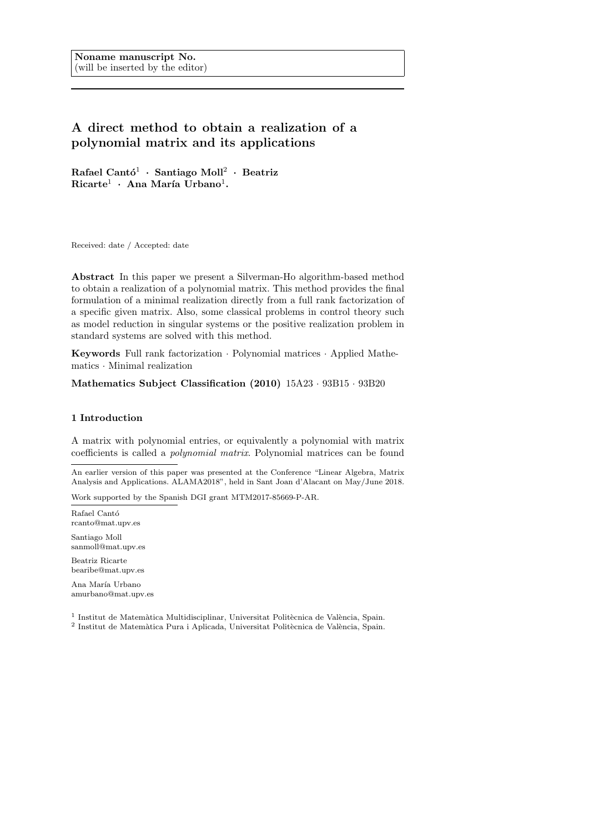# **A direct method to obtain a realization of a polynomial matrix and its applications**

 $R$ afael Cantó<sup>1</sup> · Santiago Moll<sup>2</sup> · Beatriz  $Ricarte<sup>1</sup>$  · Ana María Urbano<sup>1</sup>.

Received: date / Accepted: date

**Abstract** In this paper we present a Silverman-Ho algorithm-based method to obtain a realization of a polynomial matrix. This method provides the final formulation of a minimal realization directly from a full rank factorization of a specific given matrix. Also, some classical problems in control theory such as model reduction in singular systems or the positive realization problem in standard systems are solved with this method.

**Keywords** Full rank factorization *·* Polynomial matrices *·* Applied Mathematics *·* Minimal realization

**Mathematics Subject Classification (2010)** 15A23 *·* 93B15 *·* 93B20

# **1 Introduction**

A matrix with polynomial entries, or equivalently a polynomial with matrix coefficients is called a *polynomial matrix*. Polynomial matrices can be found

An earlier version of this paper was presented at the Conference "Linear Algebra, Matrix Analysis and Applications. ALAMA2018", held in Sant Joan d'Alacant on May/June 2018.

Work supported by the Spanish DGI grant MTM2017-85669-P-AR.

Rafael Cantó rcanto@mat.upv.es

Santiago Moll sanmoll@mat.upv.es Beatriz Ricarte

bearibe@mat.upv.es Ana María Urbano

amurbano@mat.upv.es

 $^1$ Institut de Matemàtica Multidisciplinar, Universitat Politècnica de València, Spain.

<sup>2</sup> Institut de Matemàtica Pura i Aplicada, Universitat Politècnica de València, Spain.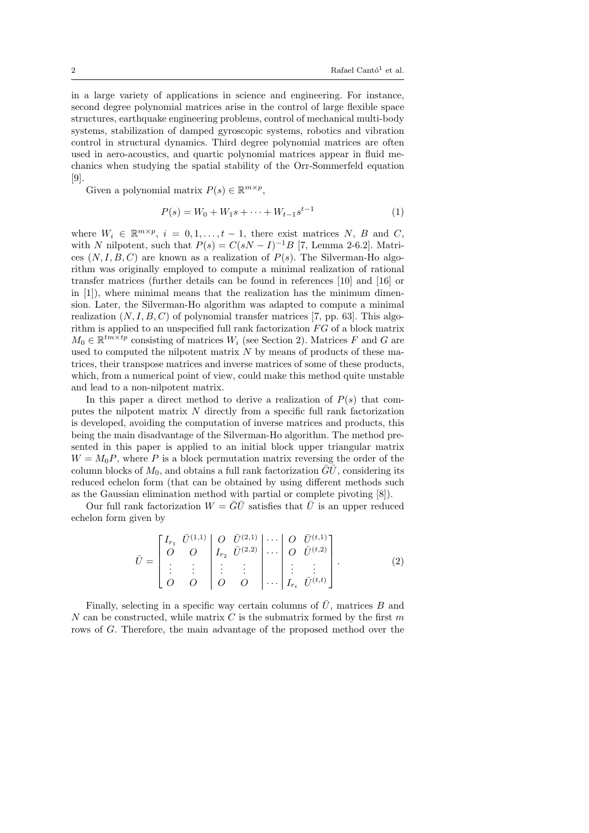in a large variety of applications in science and engineering. For instance, second degree polynomial matrices arise in the control of large flexible space structures, earthquake engineering problems, control of mechanical multi-body systems, stabilization of damped gyroscopic systems, robotics and vibration control in structural dynamics. Third degree polynomial matrices are often used in aero-acoustics, and quartic polynomial matrices appear in fluid mechanics when studying the spatial stability of the Orr-Sommerfeld equation [9].

Given a polynomial matrix  $P(s) \in \mathbb{R}^{m \times p}$ ,

$$
P(s) = W_0 + W_1 s + \dots + W_{t-1} s^{t-1}
$$
\n<sup>(1)</sup>

where  $W_i \in \mathbb{R}^{m \times p}$ ,  $i = 0, 1, \ldots, t - 1$ , there exist matrices *N*, *B* and *C*, with *N* nilpotent, such that  $P(s) = C(sN - I)^{-1}B$  [7, Lemma 2-6.2]. Matrices  $(N, I, B, C)$  are known as a realization of  $P(s)$ . The Silverman-Ho algorithm was originally employed to compute a minimal realization of rational transfer matrices (further details can be found in references [10] and [16] or in [1]), where minimal means that the realization has the minimum dimension. Later, the Silverman-Ho algorithm was adapted to compute a minimal realization  $(N, I, B, C)$  of polynomial transfer matrices [7, pp. 63]. This algorithm is applied to an unspecified full rank factorization *F G* of a block matrix  $M_0 \in \mathbb{R}^{tm \times tp}$  consisting of matrices  $W_i$  (see Section 2). Matrices *F* and *G* are used to computed the nilpotent matrix *N* by means of products of these matrices, their transpose matrices and inverse matrices of some of these products, which, from a numerical point of view, could make this method quite unstable and lead to a non-nilpotent matrix.

In this paper a direct method to derive a realization of  $P(s)$  that computes the nilpotent matrix *N* directly from a specific full rank factorization is developed, avoiding the computation of inverse matrices and products, this being the main disadvantage of the Silverman-Ho algorithm. The method presented in this paper is applied to an initial block upper triangular matrix  $W = M_0 P$ , where *P* is a block permutation matrix reversing the order of the column blocks of  $M_0$ , and obtains a full rank factorization  $GU$ , considering its reduced echelon form (that can be obtained by using different methods such as the Gaussian elimination method with partial or complete pivoting [8]).

Our full rank factorization  $W = \overline{G}\overline{U}$  satisfies that  $\overline{U}$  is an upper reduced echelon form given by

$$
\bar{U} = \begin{bmatrix} I_{r_1} & \bar{U}^{(1,1)} & O & \bar{U}^{(2,1)} & \cdots & O & \bar{U}^{(t,1)} \\ O & O & I_{r_2} & \bar{U}^{(2,2)} & \cdots & O & \bar{U}^{(t,2)} \\ \vdots & \vdots & \vdots & \vdots & \ddots & \vdots & \vdots \\ O & O & O & O & \cdots & I_{r_t} & \bar{U}^{(t,t)} \end{bmatrix} .
$$
\n(2)

Finally, selecting in a specific way certain columns of  $\overline{U}$ , matrices *B* and *N* can be constructed, while matrix *C* is the submatrix formed by the first *m* rows of *G*. Therefore, the main advantage of the proposed method over the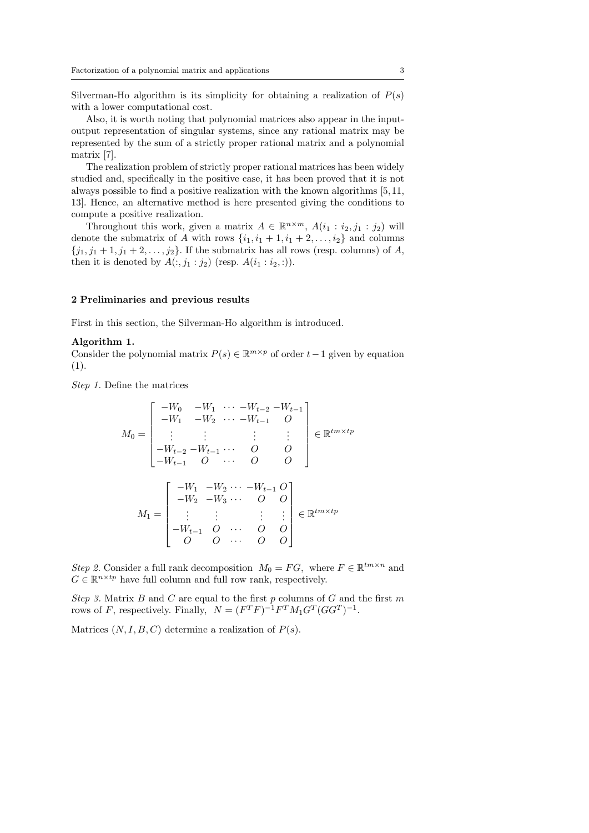Silverman-Ho algorithm is its simplicity for obtaining a realization of  $P(s)$ with a lower computational cost.

Also, it is worth noting that polynomial matrices also appear in the inputoutput representation of singular systems, since any rational matrix may be represented by the sum of a strictly proper rational matrix and a polynomial matrix [7].

The realization problem of strictly proper rational matrices has been widely studied and, specifically in the positive case, it has been proved that it is not always possible to find a positive realization with the known algorithms [5, 11, 13]. Hence, an alternative method is here presented giving the conditions to compute a positive realization.

Throughout this work, given a matrix  $A \in \mathbb{R}^{n \times m}$ ,  $A(i_1 : i_2, j_1 : j_2)$  will denote the submatrix of *A* with rows  $\{i_1, i_1 + 1, i_1 + 2, \ldots, i_2\}$  and columns  $\{j_1, j_1 + 1, j_1 + 2, \ldots, j_2\}$ . If the submatrix has all rows (resp. columns) of *A*, then it is denoted by  $A(:,j_1:j_2)$  (resp.  $A(i_1:i_2,:)$ ).

#### **2 Preliminaries and previous results**

First in this section, the Silverman-Ho algorithm is introduced.

#### **Algorithm 1.**

Consider the polynomial matrix  $P(s) \in \mathbb{R}^{m \times p}$  of order  $t-1$  given by equation (1).

*Step 1.* Define the matrices

$$
M_0 = \begin{bmatrix} -W_0 & -W_1 & \cdots -W_{t-2} & -W_{t-1} \\ -W_1 & -W_2 & \cdots -W_{t-1} & O \\ \vdots & \vdots & & \vdots & \vdots \\ -W_{t-2} & -W_{t-1} & \cdots & O & O \\ -W_{t-1} & O & \cdots & O & O \end{bmatrix} \in \mathbb{R}^{tm \times tp}
$$

$$
M_1 = \begin{bmatrix} -W_1 & -W_2 & \cdots & -W_{t-1} & O \\ -W_2 & -W_3 & \cdots & O & O \\ \vdots & \vdots & & \vdots & \vdots \\ -W_{t-1} & O & \cdots & O & O \\ O & O & \cdots & O & O \end{bmatrix} \in \mathbb{R}^{tm \times tp}
$$

*Step 2.* Consider a full rank decomposition  $M_0 = FG$ , where  $F \in \mathbb{R}^{tm \times n}$  and  $G \in \mathbb{R}^{n \times tp}$  have full column and full row rank, respectively.

*Step 3.* Matrix *B* and *C* are equal to the first *p* columns of *G* and the first *m* rows of *F*, respectively. Finally,  $N = (F^T F)^{-1} F^T M_1 G^T (GG^T)^{-1}$ .

Matrices  $(N, I, B, C)$  determine a realization of  $P(s)$ .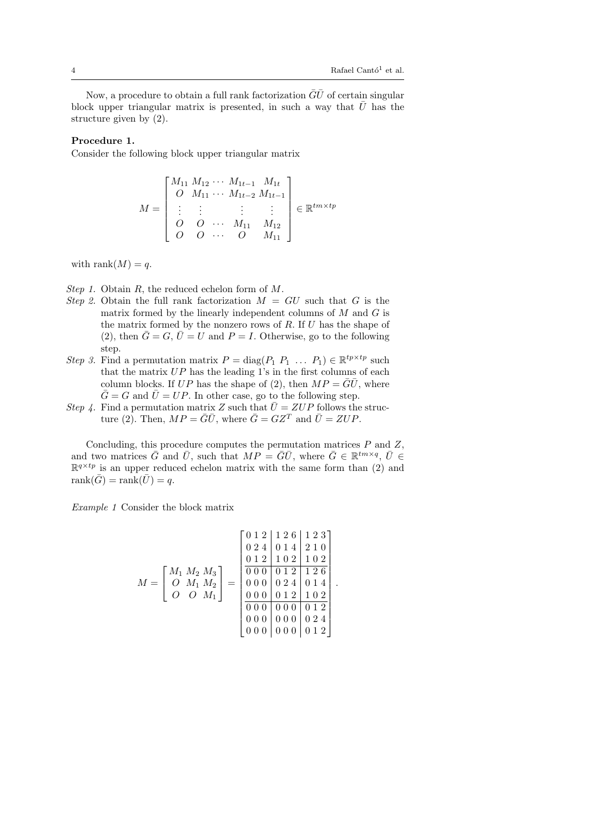Now, a procedure to obtain a full rank factorization  $\overline{G}\overline{U}$  of certain singular block upper triangular matrix is presented, in such a way that  $\bar{U}$  has the structure given by (2).

## **Procedure 1.**

Consider the following block upper triangular matrix

$$
M = \begin{bmatrix} M_{11} M_{12} \cdots M_{1t-1} M_{1t} \\ O & M_{11} \cdots M_{1t-2} M_{1t-1} \\ \vdots & \vdots & \vdots \\ O & O & \cdots M_{11} M_{12} \\ O & O & \cdots O & M_{11} \end{bmatrix} \in \mathbb{R}^{tm \times tp}
$$

with rank $(M) = q$ .

- *Step 1.* Obtain *R*, the reduced echelon form of *M*.
- *Step 2.* Obtain the full rank factorization  $M = GU$  such that *G* is the matrix formed by the linearly independent columns of *M* and *G* is the matrix formed by the nonzero rows of *R*. If *U* has the shape of (2), then  $\overline{G} = G$ ,  $\overline{U} = U$  and  $P = I$ . Otherwise, go to the following step.
- *Step 3.* Find a permutation matrix  $P = \text{diag}(P_1 \ P_1 \ \dots \ P_1) \in \mathbb{R}^{tp \times tp}$  such that the matrix *UP* has the leading 1's in the first columns of each column blocks. If  $UP$  has the shape of (2), then  $MP = \overline{G}\overline{U}$ , where  $\overline{G} = G$  and  $\overline{U} = UP$ . In other case, go to the following step.
- *Step 4.* Find a permutation matrix *Z* such that  $\overline{U} = ZUP$  follows the structure (2). Then,  $MP = \overline{G}\overline{U}$ , where  $\overline{G} = GZ^T$  and  $\overline{U} = ZUP$ .

Concluding, this procedure computes the permutation matrices *P* and *Z*, and two matrices  $\bar{G}$  and  $\bar{U}$ , such that  $MP = \bar{G}\bar{U}$ , where  $\bar{G} \in \mathbb{R}^{tm \times q}$ ,  $\bar{U} \in$  $\mathbb{R}^{q \times tp}$  is an upper reduced echelon matrix with the same form than (2) and  $rank(\bar{G}) = rank(\bar{U}) = q.$ 

*Example 1* Consider the block matrix

$$
M = \begin{bmatrix} M_1 M_2 M_3 \\ 0 & M_1 M_2 \\ 0 & M_1 M_2 \end{bmatrix} = \begin{bmatrix} 0 & 1 & 2 & 1 & 2 & 6 & 1 & 2 & 3 \\ 0 & 2 & 4 & 0 & 1 & 4 & 2 & 1 & 0 \\ 0 & 1 & 2 & 1 & 0 & 2 & 1 & 0 & 2 \\ 0 & 0 & 0 & 0 & 1 & 2 & 1 & 0 & 2 \\ 0 & 0 & 0 & 0 & 1 & 2 & 1 & 0 & 2 \\ 0 & 0 & 0 & 0 & 1 & 2 & 1 & 0 & 2 \\ 0 & 0 & 0 & 0 & 0 & 0 & 1 & 2 \\ 0 & 0 & 0 & 0 & 0 & 0 & 0 & 2 & 4 \\ 0 & 0 & 0 & 0 & 0 & 0 & 0 & 1 & 2 \end{bmatrix}.
$$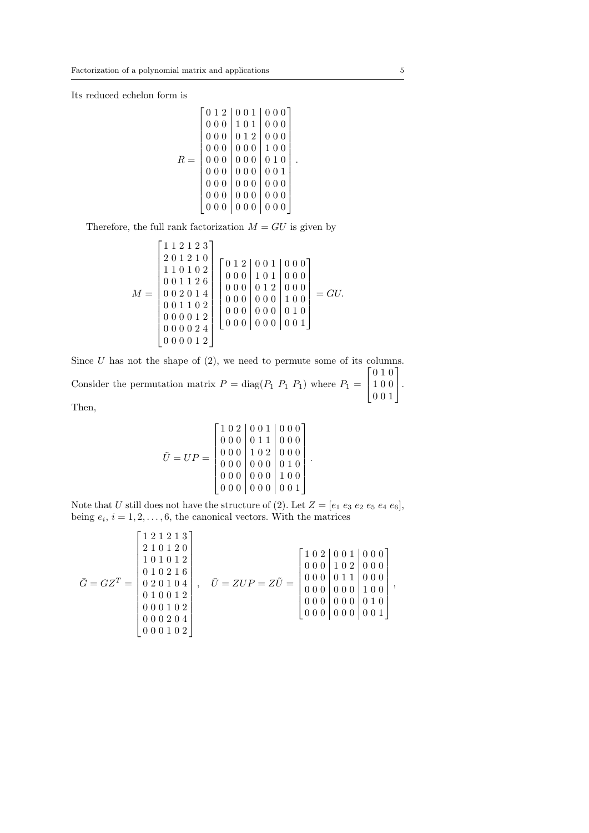Its reduced echelon form is

$$
R = \left[\begin{array}{c|c|c} 0 & 1 & 2 & 0 & 0 & 1 & 0 & 0 & 0 \\ 0 & 0 & 0 & 1 & 0 & 1 & 0 & 0 & 0 \\ 0 & 0 & 0 & 0 & 1 & 2 & 0 & 0 & 0 \\ 0 & 0 & 0 & 0 & 0 & 0 & 1 & 0 & 0 \\ 0 & 0 & 0 & 0 & 0 & 0 & 0 & 1 & 0 \\ 0 & 0 & 0 & 0 & 0 & 0 & 0 & 0 & 1 \\ 0 & 0 & 0 & 0 & 0 & 0 & 0 & 0 & 0 \\ 0 & 0 & 0 & 0 & 0 & 0 & 0 & 0 & 0 \\ 0 & 0 & 0 & 0 & 0 & 0 & 0 & 0 & 0 \end{array}\right].
$$

Therefore, the full rank factorization  $M = GU$  is given by

$$
M = \begin{bmatrix} 1 & 1 & 2 & 1 & 2 & 3 \\ 2 & 0 & 1 & 2 & 1 & 0 \\ 1 & 1 & 0 & 1 & 0 & 2 \\ 0 & 0 & 1 & 1 & 2 & 6 \\ 0 & 0 & 2 & 0 & 1 & 4 \\ 0 & 0 & 1 & 1 & 0 & 2 \\ 0 & 0 & 0 & 1 & 2 & 0 \\ 0 & 0 & 0 & 1 & 2 & 0 \\ 0 & 0 & 0 & 0 & 2 & 4 \\ 0 & 0 & 0 & 0 & 2 & 4 \end{bmatrix} \begin{bmatrix} 0 & 1 & 2 & 0 & 0 & 1 & 0 & 0 \\ 0 & 0 & 0 & 1 & 0 & 1 & 0 & 0 \\ 0 & 0 & 0 & 0 & 1 & 0 & 1 & 0 \\ 0 & 0 & 0 & 0 & 0 & 0 & 1 & 0 \\ 0 & 0 & 0 & 0 & 0 & 0 & 0 & 1 \end{bmatrix} = GU.
$$

Since *U* has not the shape of (2), we need to permute some of its columns. Consider the permutation matrix  $P = \text{diag}(P_1 \ P_1 \ P_1)$  where  $P_1 =$  $\sqrt{ }$  $\overline{\phantom{a}}$ 0 1 0 1 0 0 0 0 1 1  $\vert \cdot$ 

Then,

$$
\tilde{U} = UP = \begin{bmatrix} 1 & 0 & 2 & 0 & 0 & 1 & 0 & 0 & 0 \\ 0 & 0 & 0 & 0 & 1 & 1 & 0 & 0 & 0 \\ 0 & 0 & 0 & 1 & 0 & 2 & 0 & 0 & 0 \\ 0 & 0 & 0 & 0 & 0 & 0 & 0 & 0 & 0 \\ 0 & 0 & 0 & 0 & 0 & 0 & 1 & 0 & 0 \\ 0 & 0 & 0 & 0 & 0 & 0 & 0 & 0 & 1 \end{bmatrix}.
$$

Note that *U* still does not have the structure of (2). Let  $Z = [e_1 \ e_3 \ e_2 \ e_5 \ e_4 \ e_6]$ , being  $e_i$ ,  $i = 1, 2, \ldots, 6$ , the canonical vectors. With the matrices

$$
\bar{G}=GZ^T=\begin{bmatrix}1&2&1&2&1&3\\ 2&1&0&1&2&0\\ 1&0&1&0&1&2\\ 0&1&0&2&1&6\\ 0&2&0&1&0&4\\ 0&1&0&0&1&2\\ 0&0&0&1&0&2\\ 0&0&0&1&0&2\\ 0&0&0&1&0&2\\ 0&0&0&1&0&2\\ \end{bmatrix},\quad \bar{U}=ZUP=Z\tilde{U}=\begin{bmatrix}1&0&2&0&0&1&0&0&0\\ 0&0&0&1&0&2&0&0\\ 0&0&0&0&1&1&0&0\\ 0&0&0&0&0&0&1&0\\ 0&0&0&0&0&0&0&1\\ 0&0&0&0&0&0&0&1\\ \end{bmatrix},
$$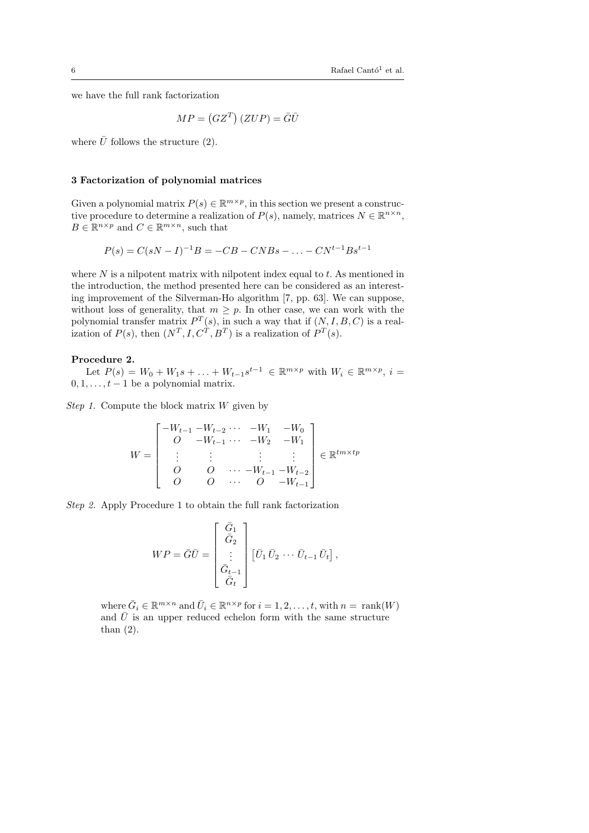we have the full rank factorization

$$
MP = (GZ^T)(ZUP) = \overline{G}\overline{U}
$$

where  $\bar{U}$  follows the structure (2).

## **3 Factorization of polynomial matrices**

Given a polynomial matrix  $P(s) \in \mathbb{R}^{m \times p}$ , in this section we present a constructive procedure to determine a realization of  $P(s)$ , namely, matrices  $N \in \mathbb{R}^{n \times n}$ ,  $B \in \mathbb{R}^{n \times p}$  and  $C \in \mathbb{R}^{m \times n}$ , such that

$$
P(s) = C(sN - I)^{-1}B = -CB - CNBs - \dots - CN^{t-1}Bs^{t-1}
$$

where *N* is a nilpotent matrix with nilpotent index equal to *t*. As mentioned in the introduction, the method presented here can be considered as an interesting improvement of the Silverman-Ho algorithm [7, pp. 63]. We can suppose, without loss of generality, that  $m \geq p$ . In other case, we can work with the polynomial transfer matrix  $P^T(s)$ , in such a way that if  $(N, I, B, C)$  is a realization of  $P(s)$ , then  $(N^T, I, C^T, B^T)$  is a realization of  $P^T(s)$ .

#### **Procedure 2.**

Let  $P(s) = W_0 + W_1 s + \ldots + W_{t-1} s^{t-1} \in \mathbb{R}^{m \times p}$  with  $W_i \in \mathbb{R}^{m \times p}$ ,  $i =$  $0, 1, \ldots, t-1$  be a polynomial matrix.

*Step 1.* Compute the block matrix *W* given by

$$
W = \begin{bmatrix} -W_{t-1} - W_{t-2} & \cdots & -W_1 & -W_0 \\ O & -W_{t-1} & \cdots & -W_2 & -W_1 \\ \vdots & \vdots & & \vdots & \vdots \\ O & O & \cdots & -W_{t-1} - W_{t-2} \\ O & O & \cdots & O & -W_{t-1} \end{bmatrix} \in \mathbb{R}^{tm \times tp}
$$

*Step 2.* Apply Procedure 1 to obtain the full rank factorization

$$
WP = \overline{G}\overline{U} = \begin{bmatrix} \overline{\tilde{G}}_1 \\ \overline{\tilde{G}}_2 \\ \vdots \\ \overline{\tilde{G}}_{t-1} \\ \overline{\tilde{G}}_t \end{bmatrix} \left[\overline{U}_1 \overline{U}_2 \cdots \overline{U}_{t-1} \overline{U}_t\right],
$$

where  $\bar{G}_i \in \mathbb{R}^{m \times n}$  and  $\bar{U}_i \in \mathbb{R}^{n \times p}$  for  $i = 1, 2, \ldots, t$ , with  $n = \text{rank}(W)$ and  $\bar{U}$  is an upper reduced echelon form with the same structure than (2).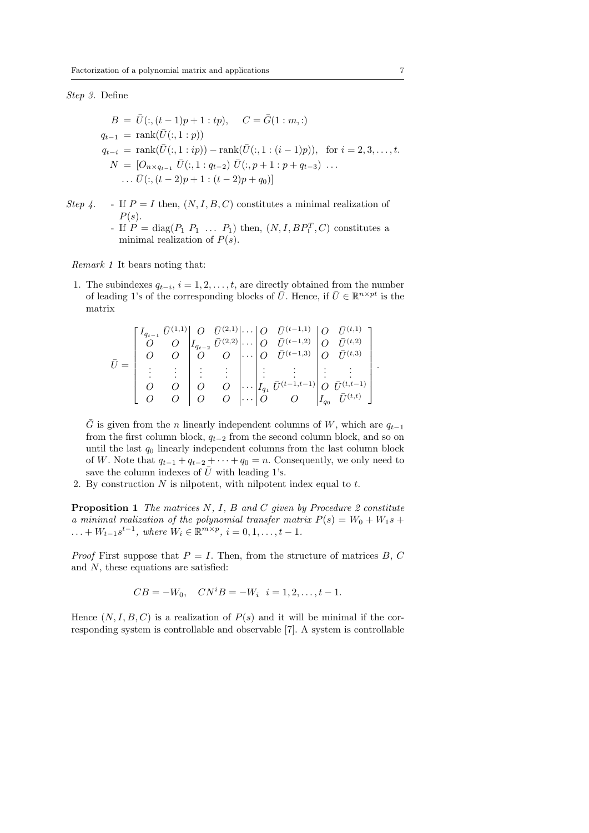## *Step 3.* Define

$$
B = \bar{U}(:, (t-1)p + 1 : tp), \quad C = \bar{G}(1 : m,:)
$$
  
\n
$$
q_{t-1} = \text{rank}(\bar{U}(:, 1 : p))
$$
  
\n
$$
q_{t-i} = \text{rank}(\bar{U}(:, 1 : ip)) - \text{rank}(\bar{U}(:, 1 : (i-1)p)), \text{ for } i = 2, 3, ..., t.
$$
  
\n
$$
N = [O_{n \times q_{t-1}} \bar{U}(:, 1 : q_{t-2}) \bar{U}(:, p+1 : p+q_{t-3}) ...
$$
  
\n
$$
\dots \bar{U}(:, (t-2)p + 1 : (t-2)p + q_0)]
$$

*Step 4.* - If  $P = I$  then,  $(N, I, B, C)$  constitutes a minimal realization of *P*(*s*). - If  $P = \text{diag}(P_1 \ P_1 \ \ldots \ P_1)$  then,  $(N, I, BP_1^T, C)$  constitutes a minimal realization of *P*(*s*).

*Remark 1* It bears noting that:

1. The subindexes  $q_{t-i}$ ,  $i = 1, 2, \ldots, t$ , are directly obtained from the number of leading 1's of the corresponding blocks of  $\overline{U}$ . Hence, if  $\overline{U} \in \mathbb{R}^{n \times pt}$  is the matrix

$$
\bar{U} = \begin{bmatrix} I_{q_{t-1}} & \bar{U}^{(1,1)} & O & \bar{U}^{(2,1)} & \cdots & O & \bar{U}^{(t-1,1)} & O & \bar{U}^{(t,1)} \\ O & O & O & I_{q_{t-2}} & \bar{U}^{(2,2)} & \cdots & O & \bar{U}^{(t-1,2)} & O & \bar{U}^{(t,2)} \\ O & O & O & O & \cdots & O & \bar{U}^{(t-1,3)} & O & \bar{U}^{(t,3)} \\ \vdots & \vdots & \vdots & \vdots & \ddots & \vdots & \vdots & \vdots & \vdots \\ O & O & O & O & \cdots & O & I_{q_1} & \bar{U}^{(t-1,t-1)} & O & \bar{U}^{(t,t-1)} \\ O & O & O & O & \cdots & O & O & I_{q_0} & \bar{U}^{(t,t)} \end{bmatrix}.
$$

 $\overline{G}$  is given from the *n* linearly independent columns of *W*, which are  $q_{t-1}$ from the first column block,  $q_{t-2}$  from the second column block, and so on until the last  $q_0$  linearly independent columns from the last column block of *W*. Note that  $q_{t-1} + q_{t-2} + \cdots + q_0 = n$ . Consequently, we only need to save the column indexes of  $\bar{U}$  with leading 1's.

2. By construction *N* is nilpotent, with nilpotent index equal to *t*.

**Proposition 1** *The matrices N, I, B and C given by Procedure 2 constitute a minimal realization of the polynomial transfer matrix*  $P(s) = W_0 + W_1 s +$  $... + W_{t-1} s^{t-1}$ , where  $W_i \in \mathbb{R}^{m \times p}$ ,  $i = 0, 1, ..., t-1$ .

*Proof* First suppose that  $P = I$ . Then, from the structure of matrices *B*, *C* and *N*, these equations are satisfied:

$$
CB = -W_0, \quad CN^iB = -W_i \quad i = 1, 2, \dots, t - 1.
$$

Hence  $(N, I, B, C)$  is a realization of  $P(s)$  and it will be minimal if the corresponding system is controllable and observable [7]. A system is controllable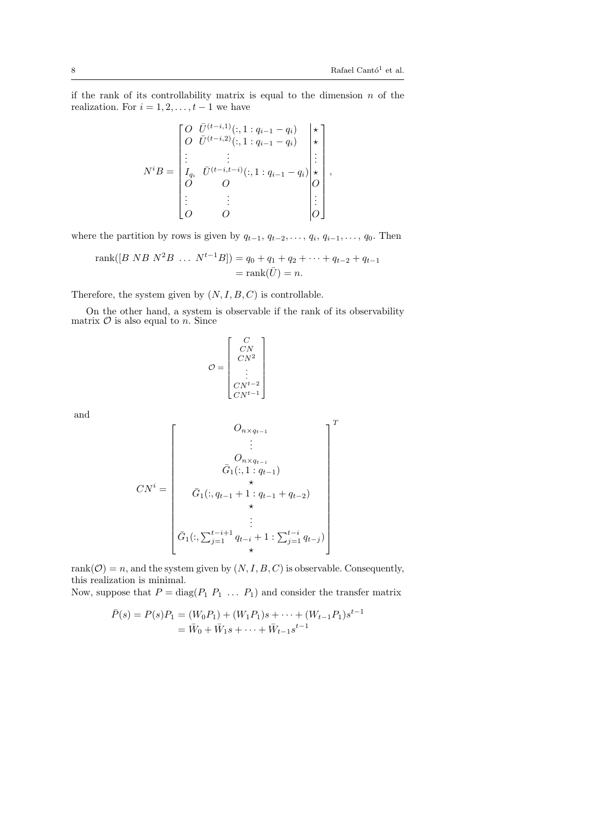if the rank of its controllability matrix is equal to the dimension *n* of the realization. For  $i = 1, 2, \ldots, t - 1$  we have

$$
N^{i}B = \begin{bmatrix} O & \bar{U}^{(t-i,1)}(:,1:q_{i-1}-q_{i}) & \star \\ O & \bar{U}^{(t-i,2)}(:,1:q_{i-1}-q_{i}) & \star \\ \vdots & \vdots & \vdots & \vdots \\ I_{q_{i}} & \bar{U}^{(t-i,t-i)}(:,1:q_{i-1}-q_{i}) & \star \\ O & O & O & O \end{bmatrix},
$$

$$
N^{i}B = \begin{bmatrix} \star \\ I_{q_{i}} & \bar{U}^{(t-i,t-i)}(:,1:q_{i-1}-q_{i}) & \star \\ O & O & O & O \end{bmatrix},
$$

where the partition by rows is given by  $q_{t-1}, q_{t-2}, \ldots, q_i, q_{i-1}, \ldots, q_0$ . Then

rank([B NB N<sup>2</sup>B ... N<sup>t-1</sup>B]) = 
$$
q_0 + q_1 + q_2 + \cdots + q_{t-2} + q_{t-1}
$$
  
= rank( $\overline{U}$ ) = n.

Therefore, the system given by  $(N, I, B, C)$  is controllable.

On the other hand, a system is observable if the rank of its observability matrix  $\mathcal O$  is also equal to  $\tilde n$ . Since

$$
\mathcal{O} = \begin{bmatrix} C \\ CN \\ CN^2 \\ \vdots \\ CN^{t-2} \\ CN^{t-1} \end{bmatrix}
$$

and

$$
CN^{i} = \begin{bmatrix} O_{n \times q_{t-1}} \\ \vdots \\ O_{n \times q_{t-i}} \\ \bar{G}_{1}(:,1:q_{t-1}) \\ \star \\ \bar{G}_{1}(:,q_{t-1}+1:q_{t-1}+q_{t-2}) \\ \star \\ \vdots \\ \bar{G}_{1}(:,\sum_{j=1}^{t-i+1} q_{t-i}+1:\sum_{j=1}^{t-i} q_{t-j}) \end{bmatrix}^{T}
$$

rank $(\mathcal{O}) = n$ , and the system given by  $(N, I, B, C)$  is observable. Consequently, this realization is minimal.

Now, suppose that  $P = \text{diag}(P_1 \ P_1 \ \ldots \ P_1)$  and consider the transfer matrix

$$
\bar{P}(s) = P(s)P_1 = (W_0P_1) + (W_1P_1)s + \dots + (W_{t-1}P_1)s^{t-1}
$$
  
=  $\bar{W}_0 + \bar{W}_1s + \dots + \bar{W}_{t-1}s^{t-1}$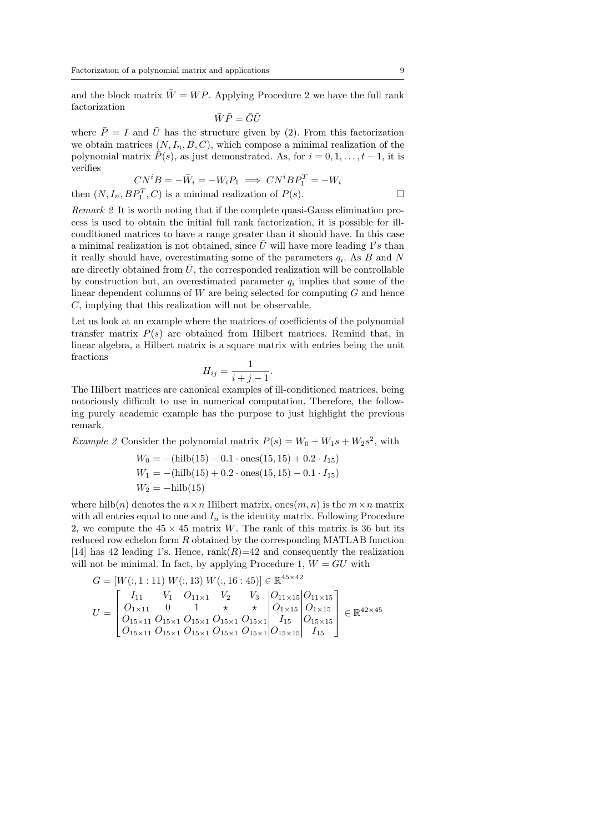and the block matrix  $\bar{W} = WP$ . Applying Procedure 2 we have the full rank factorization

$$
\bar{W}\bar{P}=\bar{G}\bar{U}
$$

where  $\bar{P} = I$  and  $\bar{U}$  has the structure given by (2). From this factorization we obtain matrices  $(N, I_n, B, C)$ , which compose a minimal realization of the polynomial matrix  $\overline{P}(s)$ , as just demonstrated. As, for  $i = 0, 1, \ldots, t - 1$ , it is verifies

$$
CN^{i}B = -\bar{W}_{i} = -W_{i}P_{1} \implies CN^{i}BP_{1}^{T} = -W_{i}
$$

then  $(N, I_n, BP_1^T, C)$  is a minimal realization of  $P(s)$ .

*Remark 2* It is worth noting that if the complete quasi-Gauss elimination process is used to obtain the initial full rank factorization, it is possible for illconditioned matrices to have a range greater than it should have. In this case a minimal realization is not obtained, since  $\overline{U}$  will have more leading 1's than it really should have, overestimating some of the parameters *q<sup>i</sup>* . As *B* and *N* are directly obtained from  $\bar{U}$ , the corresponded realization will be controllable by construction but, an overestimated parameter  $q_i$  implies that some of the linear dependent columns of *W* are being selected for computing  $\bar{G}$  and hence *C*, implying that this realization will not be observable.

Let us look at an example where the matrices of coefficients of the polynomial transfer matrix  $P(s)$  are obtained from Hilbert matrices. Remind that, in linear algebra, a Hilbert matrix is a square matrix with entries being the unit fractions

$$
H_{ij} = \frac{1}{i+j-1}.
$$

The Hilbert matrices are canonical examples of ill-conditioned matrices, being notoriously difficult to use in numerical computation. Therefore, the following purely academic example has the purpose to just highlight the previous remark.

*Example 2* Consider the polynomial matrix  $P(s) = W_0 + W_1 s + W_2 s^2$ , with

$$
W_0 = -(\text{hilb}(15) - 0.1 \cdot \text{ones}(15, 15) + 0.2 \cdot I_{15})
$$
  
\n
$$
W_1 = -(\text{hilb}(15) + 0.2 \cdot \text{ones}(15, 15) - 0.1 \cdot I_{15})
$$
  
\n
$$
W_2 = -\text{hilb}(15)
$$

where hilb(*n*) denotes the  $n \times n$  Hilbert matrix, ones(*m, n*) is the  $m \times n$  matrix with all entries equal to one and  $I_n$  is the identity matrix. Following Procedure 2, we compute the  $45 \times 45$  matrix *W*. The rank of this matrix is 36 but its reduced row echelon form *R* obtained by the corresponding MATLAB function [14] has 42 leading 1's. Hence,  $rank(R)=42$  and consequently the realization will not be minimal. In fact, by applying Procedure 1,  $W = GU$  with

$$
G = [W(:, 1: 11) W(:, 13) W(:, 16: 45)] \in \mathbb{R}^{45 \times 42}
$$
  
\n
$$
U = \begin{bmatrix} I_{11} & V_1 & O_{11 \times 1} & V_2 & V_3 & O_{11 \times 15} & O_{11 \times 15} \\ O_{1 \times 11} & 0 & 1 & \star & \star & O_{1 \times 15} & O_{1 \times 15} \\ O_{15 \times 11} & O_{15 \times 1} & O_{15 \times 1} & O_{15 \times 1} & O_{15 \times 1} & I_{15} & O_{15 \times 15} \\ O_{15 \times 11} & O_{15 \times 1} & O_{15 \times 1} & O_{15 \times 1} & O_{15 \times 1} & O_{15 \times 15} & I_{15} \end{bmatrix} \in \mathbb{R}^{42 \times 45}
$$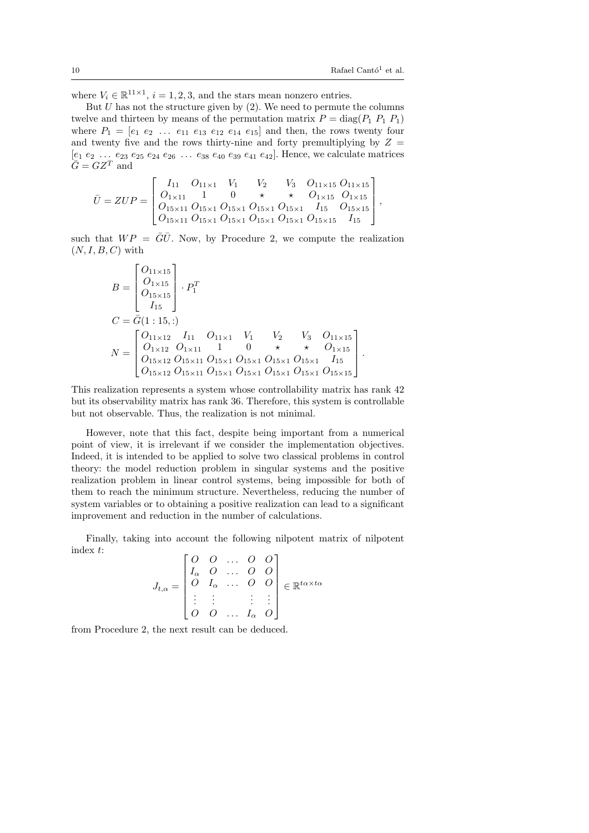where  $V_i \in \mathbb{R}^{11 \times 1}$ ,  $i = 1, 2, 3$ , and the stars mean nonzero entries.

But  $U$  has not the structure given by  $(2)$ . We need to permute the columns twelve and thirteen by means of the permutation matrix  $P = \text{diag}(P_1 \, P_1 \, P_1)$ where  $P_1 = [e_1 \, e_2 \, \ldots \, e_{11} \, e_{13} \, e_{12} \, e_{14} \, e_{15}]$  and then, the rows twenty four and twenty five and the rows thirty-nine and forty premultiplying by  $Z =$  $[e_1 \ e_2 \ \ldots \ e_{23} \ e_{25} \ e_{24} \ e_{26} \ \ldots \ e_{38} \ e_{40} \ e_{39} \ e_{41} \ e_{42}]$ . Hence, we calculate matrices  $\overline{G} = GZ^T$  and

$$
\bar{U} = ZUP = \begin{bmatrix} I_{11} & O_{11\times1} & V_1 & V_2 & V_3 & O_{11\times15} & O_{11\times15} \\ O_{1\times11} & 1 & 0 & \star & \star & O_{1\times15} & O_{1\times15} \\ O_{15\times11} & O_{15\times1} & O_{15\times1} & O_{15\times1} & O_{15\times1} & I_{15} & O_{15\times15} \\ O_{15\times11} & O_{15\times1} & O_{15\times1} & O_{15\times1} & O_{15\times1} & O_{15\times15} & I_{15} \end{bmatrix},
$$

such that  $WP = \overline{G}\overline{U}$ . Now, by Procedure 2, we compute the realization  $(N, I, B, C)$  with

$$
B = \begin{bmatrix} O_{11 \times 15} \\ O_{1 \times 15} \\ O_{15 \times 15} \\ I_{15} \end{bmatrix} \cdot P_1^T
$$
  
\n
$$
C = \bar{G}(1:15,:)
$$
  
\n
$$
N = \begin{bmatrix} O_{11 \times 12} & I_{11} & O_{11 \times 1} & V_1 & V_2 & V_3 & O_{11 \times 15} \\ O_{1 \times 12} & O_{1 \times 11} & 1 & 0 & \star & \star & O_{1 \times 15} \\ O_{15 \times 12} & O_{15 \times 11} & O_{15 \times 1} & O_{15 \times 1} & O_{15 \times 1} & O_{15 \times 1} & I_{15} \\ O_{15 \times 12} & O_{15 \times 11} & O_{15 \times 1} & O_{15 \times 1} & O_{15 \times 1} & O_{15 \times 1} & O_{15 \times 15} \end{bmatrix}.
$$

This realization represents a system whose controllability matrix has rank 42 but its observability matrix has rank 36. Therefore, this system is controllable but not observable. Thus, the realization is not minimal.

However, note that this fact, despite being important from a numerical point of view, it is irrelevant if we consider the implementation objectives. Indeed, it is intended to be applied to solve two classical problems in control theory: the model reduction problem in singular systems and the positive realization problem in linear control systems, being impossible for both of them to reach the minimum structure. Nevertheless, reducing the number of system variables or to obtaining a positive realization can lead to a significant improvement and reduction in the number of calculations.

Finally, taking into account the following nilpotent matrix of nilpotent index *t*:  $\mathsf{r}$  $\sim$   $\overline{ }$ 

$$
J_{t,\alpha} = \begin{bmatrix} O & O & \dots & O & O \\ I_{\alpha} & O & \dots & O & O \\ O & I_{\alpha} & \dots & O & O \\ \vdots & \vdots & & \vdots & \vdots \\ O & O & \dots & I_{\alpha} & O \end{bmatrix} \in \mathbb{R}^{t\alpha \times t\alpha}
$$

from Procedure 2, the next result can be deduced.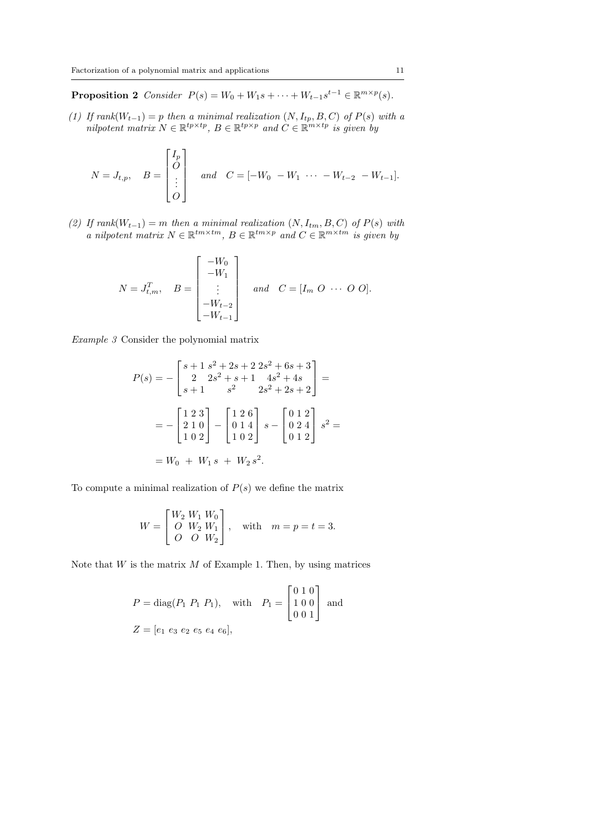**Proposition 2** *Consider*  $P(s) = W_0 + W_1 s + \cdots + W_{t-1} s^{t-1} \in \mathbb{R}^{m \times p}(s)$ *.* 

*(1) If rank*(*Wt−*1) = *p then a minimal realization* (*N, Itp, B, C*) *of P*(*s*) *with a nilpotent matrix*  $N \in \mathbb{R}^{tp \times tp}$ ,  $B \in \mathbb{R}^{tp \times p}$  and  $C \in \mathbb{R}^{m \times tp}$  is given by

$$
N = J_{t,p}, \quad B = \begin{bmatrix} I_p \\ O \\ \vdots \\ O \end{bmatrix} \quad and \quad C = [-W_0 - W_1 \cdots - W_{t-2} - W_{t-1}].
$$

*(2) If rank*(*Wt−*1) = *m then a minimal realization* (*N, Itm, B, C*) *of P*(*s*) *with a nilpotent matrix*  $N \in \mathbb{R}^{tm \times tm}$ ,  $B \in \mathbb{R}^{tm \times p}$  and  $C \in \mathbb{R}^{m \times tm}$  is given by

$$
N = J_{t,m}^T, \quad B = \begin{bmatrix} -W_0 \\ -W_1 \\ \vdots \\ -W_{t-2} \\ -W_{t-1} \end{bmatrix} \quad and \quad C = [I_m \ O \ \cdots \ O \ O].
$$

*Example 3* Consider the polynomial matrix

$$
P(s) = -\begin{bmatrix} s+1 & s^2+2s+2 & 2s^2+6s+3\\ 2 & 2s^2+s+1 & 4s^2+4s\\ s+1 & s^2 & 2s^2+2s+2 \end{bmatrix} =
$$
  
= 
$$
-\begin{bmatrix} 1 & 2 & 3\\ 2 & 1 & 0\\ 1 & 0 & 2 \end{bmatrix} - \begin{bmatrix} 1 & 2 & 6\\ 0 & 1 & 4\\ 1 & 0 & 2 \end{bmatrix} s - \begin{bmatrix} 0 & 1 & 2\\ 0 & 2 & 4\\ 0 & 1 & 2 \end{bmatrix} s^2 =
$$
  
=  $W_0 + W_1 s + W_2 s^2.$ 

To compute a minimal realization of  $P(s)$  we define the matrix

$$
W = \begin{bmatrix} W_2 & W_1 & W_0 \\ O & W_2 & W_1 \\ O & O & W_2 \end{bmatrix}, \text{ with } m = p = t = 3.
$$

Note that *W* is the matrix *M* of Example 1. Then, by using matrices

$$
P = \text{diag}(P_1 \ P_1 \ P_1), \quad \text{with} \quad P_1 = \begin{bmatrix} 0 & 1 & 0 \\ 1 & 0 & 0 \\ 0 & 0 & 1 \end{bmatrix} \text{ and}
$$

$$
Z = [e_1 \ e_3 \ e_2 \ e_5 \ e_4 \ e_6],
$$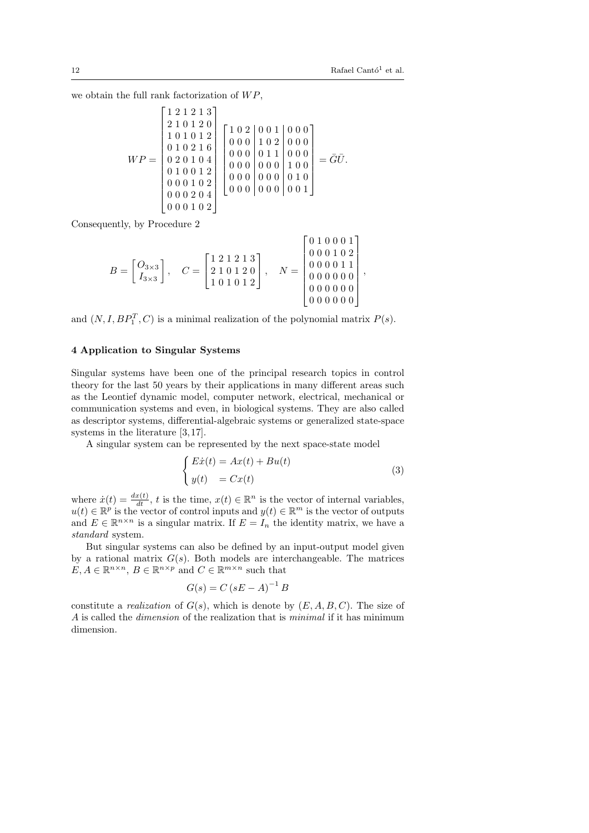we obtain the full rank factorization of *W P*,

$$
WP = \begin{bmatrix} 1 & 2 & 1 & 2 & 1 & 3 \\ 2 & 1 & 0 & 1 & 2 & 0 \\ 1 & 0 & 1 & 0 & 1 & 2 \\ 0 & 1 & 0 & 2 & 1 & 6 \\ 0 & 2 & 0 & 1 & 0 & 4 \\ 0 & 1 & 0 & 0 & 1 & 2 \\ 0 & 0 & 0 & 1 & 0 & 2 \\ 0 & 0 & 0 & 1 & 0 & 2 \\ 0 & 0 & 0 & 1 & 0 & 2 \\ 0 & 0 & 0 & 2 & 0 & 4 \\ 0 & 0 & 0 & 1 & 0 & 0 \end{bmatrix} \begin{bmatrix} 1 & 0 & 2 & 0 & 0 & 1 \\ 0 & 0 & 0 & 1 & 0 & 0 & 0 \\ 0 & 0 & 0 & 0 & 1 & 1 & 0 \\ 0 & 0 & 0 & 0 & 0 & 1 & 0 \\ 0 & 0 & 0 & 0 & 0 & 0 & 1 \\ 0 & 0 & 0 & 0 & 0 & 0 & 1 \end{bmatrix} = \bar{G}\bar{U}.
$$

Consequently, by Procedure 2

$$
B = \begin{bmatrix} Q_{3\times3} \\ I_{3\times3} \end{bmatrix}, \quad C = \begin{bmatrix} 1 & 2 & 1 & 2 & 1 & 3 \\ 2 & 1 & 0 & 1 & 2 & 0 \\ 1 & 0 & 1 & 0 & 1 & 2 \end{bmatrix}, \quad N = \begin{bmatrix} 0 & 1 & 0 & 0 & 0 & 1 \\ 0 & 0 & 0 & 1 & 0 & 2 \\ 0 & 0 & 0 & 0 & 1 & 1 \\ 0 & 0 & 0 & 0 & 0 & 0 \\ 0 & 0 & 0 & 0 & 0 & 0 \\ 0 & 0 & 0 & 0 & 0 & 0 \end{bmatrix},
$$

and  $(N, I, BP_1^T, C)$  is a minimal realization of the polynomial matrix  $P(s)$ .

# **4 Application to Singular Systems**

Singular systems have been one of the principal research topics in control theory for the last 50 years by their applications in many different areas such as the Leontief dynamic model, computer network, electrical, mechanical or communication systems and even, in biological systems. They are also called as descriptor systems, differential-algebraic systems or generalized state-space systems in the literature [3, 17].

A singular system can be represented by the next space-state model

$$
\begin{cases}\nE\dot{x}(t) = Ax(t) + Bu(t) \\
y(t) = Cx(t)\n\end{cases} \tag{3}
$$

where  $\dot{x}(t) = \frac{dx(t)}{dt}$ , *t* is the time,  $x(t) \in \mathbb{R}^n$  is the vector of internal variables,  $u(t) \in \mathbb{R}^p$  is the vector of control inputs and  $y(t) \in \mathbb{R}^m$  is the vector of outputs and  $E \in \mathbb{R}^{n \times n}$  is a singular matrix. If  $E = I_n$  the identity matrix, we have a *standard* system.

But singular systems can also be defined by an input-output model given by a rational matrix  $G(s)$ . Both models are interchangeable. The matrices  $E, A \in \mathbb{R}^{n \times n}, B \in \mathbb{R}^{n \times p}$  and  $C \in \mathbb{R}^{m \times n}$  such that

$$
G(s) = C\left(sE - A\right)^{-1}B
$$

constitute a *realization* of  $G(s)$ , which is denote by  $(E, A, B, C)$ . The size of *A* is called the *dimension* of the realization that is *minimal* if it has minimum dimension.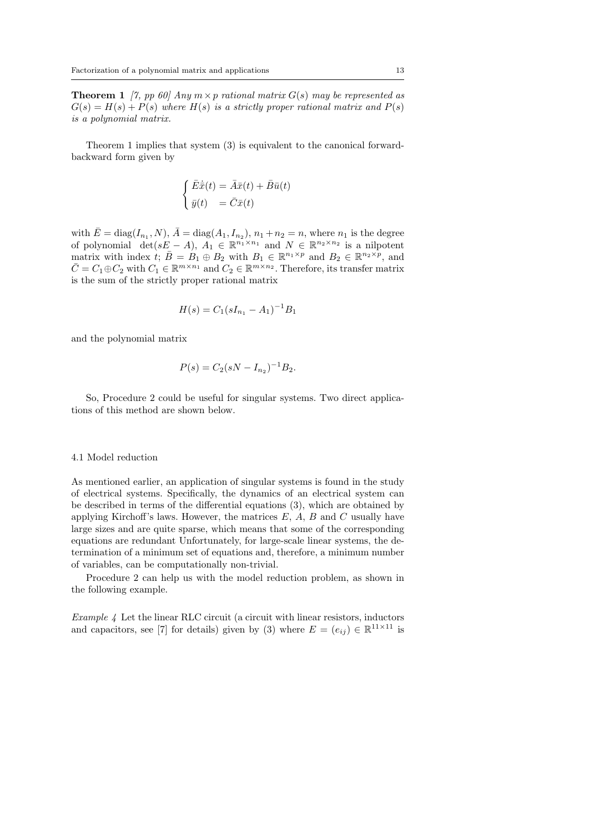**Theorem 1** *[7, pp 60]* Any  $m \times p$  *rational matrix*  $G(s)$  *may be represented as*  $G(s) = H(s) + P(s)$  *where*  $H(s)$  *is a strictly proper rational matrix and*  $P(s)$ *is a polynomial matrix.*

Theorem 1 implies that system (3) is equivalent to the canonical forwardbackward form given by

$$
\begin{cases} \bar{E}\dot{\bar{x}}(t) = \bar{A}\bar{x}(t) + \bar{B}\bar{u}(t) \\ \bar{y}(t) = \bar{C}\bar{x}(t) \end{cases}
$$

with  $\bar{E} = \text{diag}(I_{n_1}, N), \bar{A} = \text{diag}(A_1, I_{n_2}), n_1 + n_2 = n$ , where  $n_1$  is the degree of polynomial det( $sE - A$ ),  $A_1 \in \mathbb{R}^{n_1 \times n_1}$  and  $N \in \mathbb{R}^{n_2 \times n_2}$  is a nilpotent matrix with index  $\dot{t}$ ;  $\bar{B} = B_1 \oplus B_2$  with  $B_1 \in \mathbb{R}^{n_1 \times p}$  and  $B_2 \in \mathbb{R}^{n_2 \times p}$ , and  $\overline{C} = C_1 \oplus C_2$  with  $C_1 \in \mathbb{R}^{m \times n_1}$  and  $C_2 \in \mathbb{R}^{m \times n_2}$ . Therefore, its transfer matrix is the sum of the strictly proper rational matrix

$$
H(s) = C_1 (sI_{n_1} - A_1)^{-1}B_1
$$

and the polynomial matrix

$$
P(s) = C_2(sN - I_{n_2})^{-1}B_2.
$$

So, Procedure 2 could be useful for singular systems. Two direct applications of this method are shown below.

#### 4.1 Model reduction

As mentioned earlier, an application of singular systems is found in the study of electrical systems. Specifically, the dynamics of an electrical system can be described in terms of the differential equations (3), which are obtained by applying Kirchoff's laws. However, the matrices *E*, *A*, *B* and *C* usually have large sizes and are quite sparse, which means that some of the corresponding equations are redundant Unfortunately, for large-scale linear systems, the determination of a minimum set of equations and, therefore, a minimum number of variables, can be computationally non-trivial.

Procedure 2 can help us with the model reduction problem, as shown in the following example.

*Example 4* Let the linear RLC circuit (a circuit with linear resistors, inductors and capacitors, see [7] for details) given by (3) where  $E = (e_{ij}) \in \mathbb{R}^{11 \times 11}$  is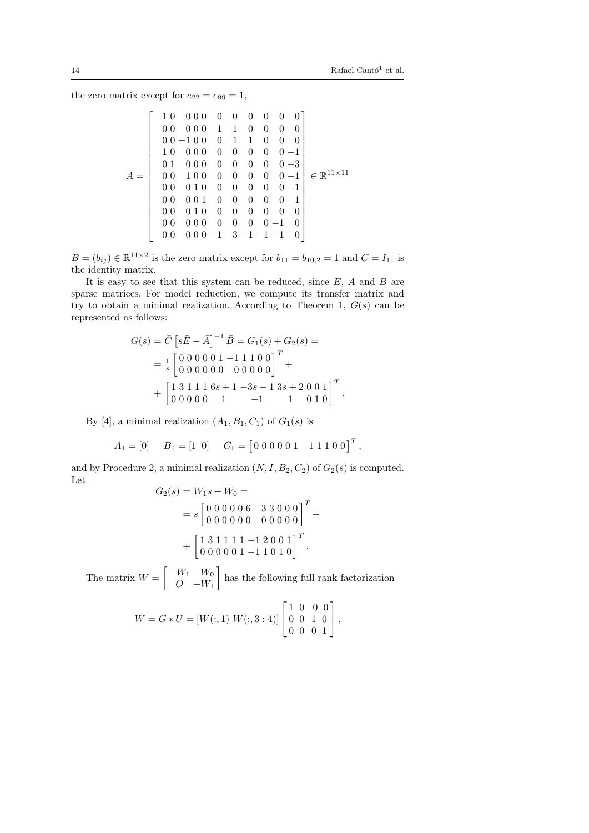*.*

the zero matrix except for  $e_{22} = e_{99} = 1$ ,

$$
A = \begin{bmatrix}\n-10 & 0 & 0 & 0 & 0 & 0 & 0 & 0 & 0 \\
0 & 0 & 0 & 0 & 1 & 1 & 0 & 0 & 0 & 0 \\
0 & 0 & -1 & 0 & 0 & 1 & 1 & 0 & 0 & 0 \\
1 & 0 & 0 & 0 & 0 & 0 & 0 & 0 & 0 & -1 \\
0 & 1 & 0 & 0 & 0 & 0 & 0 & 0 & 0 & 0 & -1 \\
0 & 0 & 1 & 0 & 0 & 0 & 0 & 0 & 0 & 0 & -1 \\
0 & 0 & 0 & 1 & 0 & 0 & 0 & 0 & 0 & 0 & 0 & 0 \\
0 & 0 & 0 & 1 & 0 & 0 & 0 & 0 & 0 & 0 & 0 & 0 \\
0 & 0 & 0 & 0 & 0 & 0 & 0 & 0 & 0 & 0 & 0 & 0 \\
0 & 0 & 0 & 0 & 0 & 0 & 0 & 0 & 0 & 0 & 0 & 0 \\
0 & 0 & 0 & 0 & 0 & 0 & 0 & 0 & 0 & -1 & 0 \\
0 & 0 & 0 & 0 & 0 & -1 & -3 & -1 & -1 & -1 & 0\n\end{bmatrix} \in \mathbb{R}^{11 \times 11}
$$

 $B = (b_{ij}) \in \mathbb{R}^{11 \times 2}$  is the zero matrix except for  $b_{11} = b_{10,2} = 1$  and  $C = I_{11}$  is the identity matrix.

It is easy to see that this system can be reduced, since *E*, *A* and *B* are sparse matrices. For model reduction, we compute its transfer matrix and try to obtain a minimal realization. According to Theorem 1,  $G(s)$  can be represented as follows:

$$
G(s) = \bar{C} \left[ s\bar{E} - \bar{A} \right]^{-1} \bar{B} = G_1(s) + G_2(s) =
$$
  
=  $\frac{1}{s} \begin{bmatrix} 0 & 0 & 0 & 0 & 1 & -1 & 1 & 1 & 0 & 0 \\ 0 & 0 & 0 & 0 & 0 & 0 & 0 & 0 & 0 \end{bmatrix}^T +$   
+  $\begin{bmatrix} 1 & 3 & 1 & 1 & 1 & 6s + 1 & -3s - 1 & 3s + 2 & 0 & 0 & 1 \\ 0 & 0 & 0 & 0 & 0 & 1 & -1 & 1 & 0 & 1 & 0 \end{bmatrix}^T$ 

By [4], a minimal realization  $(A_1, B_1, C_1)$  of  $G_1(s)$  is

$$
A_1 = [0] \t B_1 = [1 \ 0] \t C_1 = [0 \ 0 \ 0 \ 0 \ 0 \ 1 \ -1 \ 1 \ 1 \ 0 \ 0]^T,
$$

and by Procedure 2, a minimal realization  $(N, I, B_2, C_2)$  of  $G_2(s)$  is computed. Let

$$
G_2(s) = W_1 s + W_0 =
$$
  
=  $s \begin{bmatrix} 0 & 0 & 0 & 0 & 6 & -3 & 3 & 0 & 0 & 0 \\ 0 & 0 & 0 & 0 & 0 & 0 & 0 & 0 & 0 & 0 \end{bmatrix}^T$   
+  $\begin{bmatrix} 1 & 3 & 1 & 1 & 1 & -1 & 2 & 0 & 0 & 1 \\ 0 & 0 & 0 & 0 & 0 & 1 & -1 & 1 & 0 & 1 & 0 \end{bmatrix}^T$ .

The matrix  $W = \begin{bmatrix} -W_1 & -W_0 \\ 0 & W \end{bmatrix}$ *O −W*<sup>1</sup> ] has the following full rank factorization

$$
W = G * U = [W(:,1) \ W(:,3:4)] \begin{bmatrix} 1 & 0 & 0 & 0 \\ 0 & 0 & 1 & 0 \\ 0 & 0 & 0 & 1 \end{bmatrix},
$$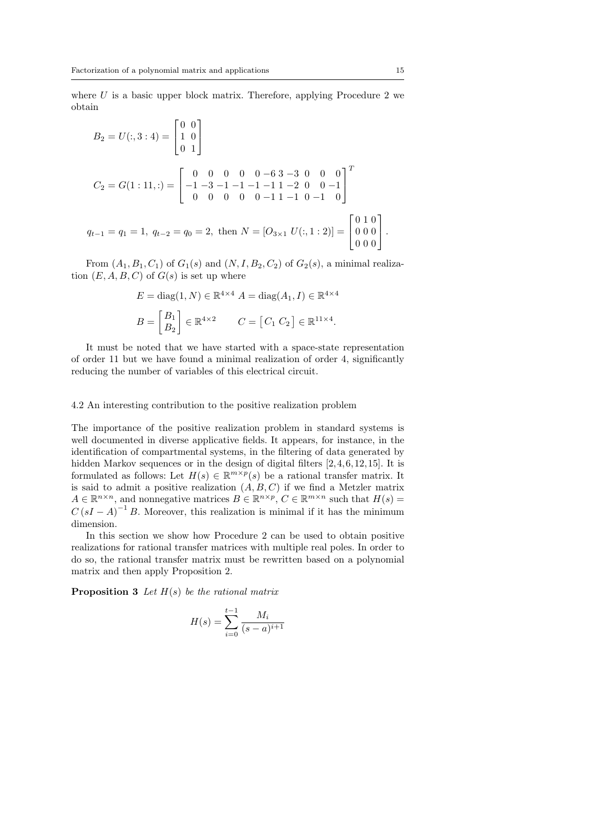where *U* is a basic upper block matrix. Therefore, applying Procedure 2 we obtain

$$
B_2 = U(:, 3 : 4) = \begin{bmatrix} 0 & 0 \\ 1 & 0 \\ 0 & 1 \end{bmatrix}
$$
  
\n
$$
C_2 = G(1 : 11, :) = \begin{bmatrix} 0 & 0 & 0 & 0 & 0 & -6 & 3 & -3 & 0 & 0 & 0 \\ -1 & -3 & -1 & -1 & -1 & -1 & 1 & -2 & 0 & 0 & -1 \\ 0 & 0 & 0 & 0 & 0 & -1 & 1 & -1 & 0 & -1 & 0 \end{bmatrix}^T
$$
  
\n
$$
q_{t-1} = q_1 = 1, \ q_{t-2} = q_0 = 2, \text{ then } N = [O_{3 \times 1} U(:, 1 : 2)] = \begin{bmatrix} 0 & 1 & 0 \\ 0 & 0 & 0 \\ 0 & 0 & 0 \end{bmatrix}.
$$

From  $(A_1, B_1, C_1)$  of  $G_1(s)$  and  $(N, I, B_2, C_2)$  of  $G_2(s)$ , a minimal realization  $(E, A, B, C)$  of  $G(s)$  is set up where

$$
E = \text{diag}(1, N) \in \mathbb{R}^{4 \times 4} \quad A = \text{diag}(A_1, I) \in \mathbb{R}^{4 \times 4}
$$
\n
$$
B = \begin{bmatrix} B_1 \\ B_2 \end{bmatrix} \in \mathbb{R}^{4 \times 2} \qquad C = \begin{bmatrix} C_1 & C_2 \end{bmatrix} \in \mathbb{R}^{11 \times 4}.
$$

It must be noted that we have started with a space-state representation of order 11 but we have found a minimal realization of order 4, significantly reducing the number of variables of this electrical circuit.

# 4.2 An interesting contribution to the positive realization problem

The importance of the positive realization problem in standard systems is well documented in diverse applicative fields. It appears, for instance, in the identification of compartmental systems, in the filtering of data generated by hidden Markov sequences or in the design of digital filters  $[2, 4, 6, 12, 15]$ . It is formulated as follows: Let  $H(s) \in \mathbb{R}^{m \times p}(s)$  be a rational transfer matrix. It is said to admit a positive realization  $(A, B, C)$  if we find a Metzler matrix  $A \in \mathbb{R}^{n \times n}$ , and nonnegative matrices  $B \in \mathbb{R}^{n \times p}$ ,  $C \in \mathbb{R}^{m \times n}$  such that  $H(s)$  $C(sI - A)^{-1}B$ . Moreover, this realization is minimal if it has the minimum dimension.

In this section we show how Procedure 2 can be used to obtain positive realizations for rational transfer matrices with multiple real poles. In order to do so, the rational transfer matrix must be rewritten based on a polynomial matrix and then apply Proposition 2.

**Proposition 3** *Let H*(*s*) *be the rational matrix*

$$
H(s) = \sum_{i=0}^{t-1} \frac{M_i}{(s-a)^{i+1}}
$$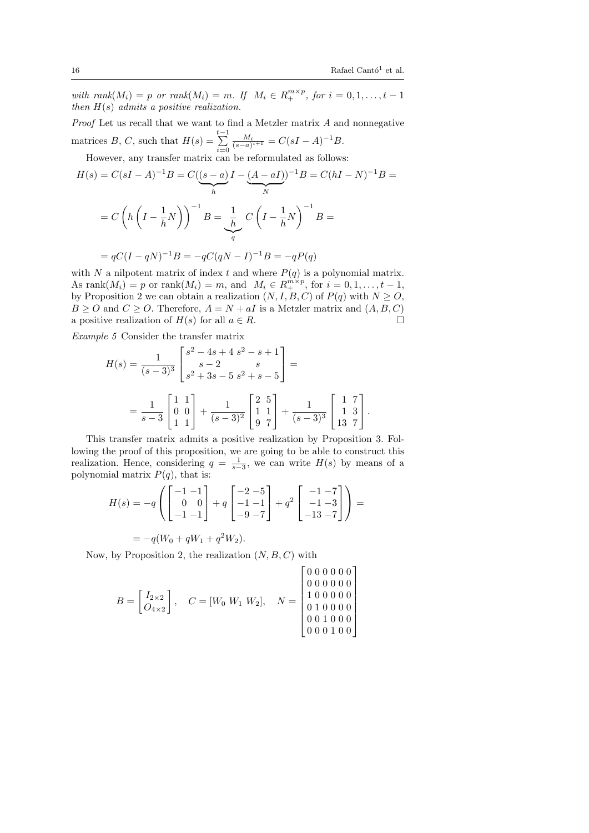with rank $(M_i) = p$  or rank $(M_i) = m$ . If  $M_i \in R_+^{m \times p}$ , for  $i = 0, 1, \ldots, t - 1$ *then H*(*s*) *admits a positive realization.*

*Proof* Let us recall that we want to find a Metzler matrix *A* and nonnegative matrices *B*, *C*, such that  $H(s) = \sum_{i=0}^{t-1}$  $\frac{M_i}{(s-a)^{i+1}} = C(sI-A)^{-1}B.$ 

However, any transfer matrix can be reformulated as follows:

$$
H(s) = C(sI - A)^{-1}B = C((s - a)I - (A - aI))^{-1}B = C(hI - N)^{-1}B =
$$

$$
= C\left(h\left(I - \frac{1}{h}N\right)\right)^{-1}B = \underbrace{\frac{1}{h}}_{q} C\left(I - \frac{1}{h}N\right)^{-1}B =
$$

$$
= qC(I - qN)^{-1}B = -qC(qN - I)^{-1}B = -qP(q)
$$

with *N* a nilpotent matrix of index *t* and where  $P(q)$  is a polynomial matrix. As  $\text{rank}(M_i) = p \text{ or } \text{rank}(M_i) = m$ , and  $M_i \in R_+^{\text{mix}p}$ , for  $i = 0, 1, ..., t - 1$ , by Proposition 2 we can obtain a realization  $(N, I, B, C)$  of  $P(q)$  with  $N \geq O$ ,  $B \geq O$  and  $C \geq O$ . Therefore,  $A = N + aI$  is a Metzler matrix and  $(A, B, C)$ a positive realization of  $H(s)$  for all  $a \in R$ .

*Example 5* Consider the transfer matrix

$$
H(s) = \frac{1}{(s-3)^3} \begin{bmatrix} s^2 - 4s + 4 & s^2 - s + 1 \\ s - 2 & s \\ s^2 + 3s - 5 & s^2 + s - 5 \end{bmatrix} =
$$
  
=  $\frac{1}{s-3} \begin{bmatrix} 1 & 1 \\ 0 & 0 \\ 1 & 1 \end{bmatrix} + \frac{1}{(s-3)^2} \begin{bmatrix} 2 & 5 \\ 1 & 1 \\ 9 & 7 \end{bmatrix} + \frac{1}{(s-3)^3} \begin{bmatrix} 1 & 7 \\ 1 & 3 \\ 13 & 7 \end{bmatrix}.$ 

This transfer matrix admits a positive realization by Proposition 3. Following the proof of this proposition, we are going to be able to construct this realization. Hence, considering  $q = \frac{1}{s-3}$ , we can write  $H(s)$  by means of a polynomial matrix  $P(q)$ , that is:

$$
H(s) = -q \left( \begin{bmatrix} -1 & -1 \\ 0 & 0 \\ -1 & -1 \end{bmatrix} + q \begin{bmatrix} -2 & -5 \\ -1 & -1 \\ -9 & -7 \end{bmatrix} + q^2 \begin{bmatrix} -1 & -7 \\ -1 & -3 \\ -13 & -7 \end{bmatrix} \right) =
$$

$$
= -q(W_0 + qW_1 + q^2W_2).
$$

Now, by Proposition 2, the realization (*N, B, C*) with

$$
B = \begin{bmatrix} I_{2 \times 2} \\ O_{4 \times 2} \end{bmatrix}, \quad C = [W_0 \ W_1 \ W_2], \quad N = \begin{bmatrix} 0 & 0 & 0 & 0 & 0 & 0 \\ 0 & 0 & 0 & 0 & 0 & 0 \\ 1 & 0 & 0 & 0 & 0 & 0 \\ 0 & 1 & 0 & 0 & 0 & 0 \\ 0 & 0 & 1 & 0 & 0 & 0 \\ 0 & 0 & 0 & 1 & 0 & 0 \end{bmatrix}
$$